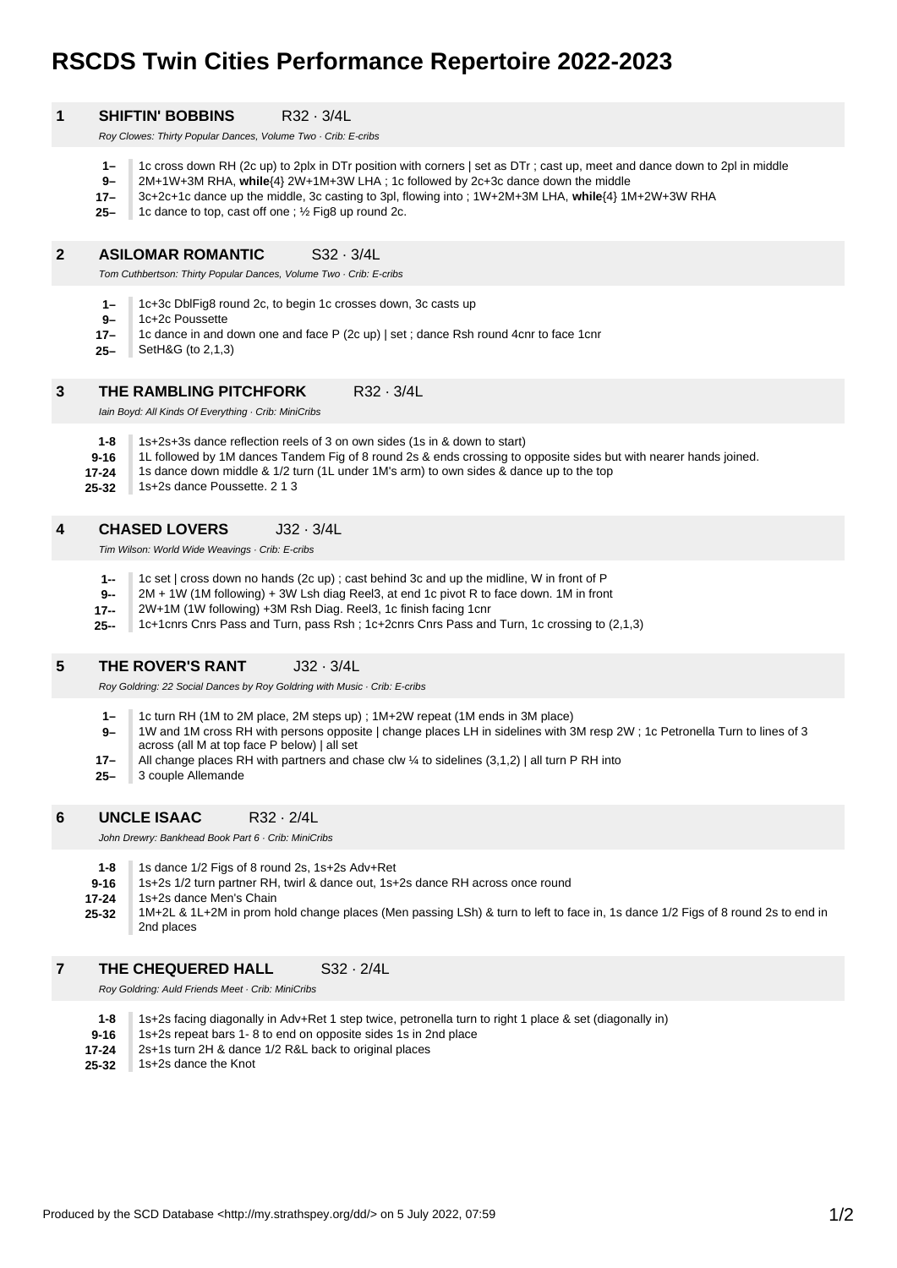# **RSCDS Twin Cities Performance Repertoire 2022-2023**

| <b>SHIFTIN' BOBBINS</b>                                       | $R32 \cdot 3/4L$ |
|---------------------------------------------------------------|------------------|
| Roy Clowes: Thirty Popular Dances, Volume Two . Crib: E-cribs |                  |

- **1–** 1c cross down RH (2c up) to 2plx in DTr position with corners | set as DTr ; cast up, meet and dance down to 2pl in middle
- **9–** 2M+1W+3M RHA, **while**{4} 2W+1M+3W LHA ; 1c followed by 2c+3c dance down the middle
- **17–** 3c+2c+1c dance up the middle, 3c casting to 3pl, flowing into ; 1W+2M+3M LHA, **while**{4} 1M+2W+3W RHA
- **25–** 1c dance to top, cast off one ; ½ Fig8 up round 2c.

#### **2 ASILOMAR ROMANTIC** S32 · 3/4L

Tom Cuthbertson: Thirty Popular Dances, Volume Two · Crib: E-cribs

- **1–** 1c+3c DblFig8 round 2c, to begin 1c crosses down, 3c casts up
- **9–** 1c+2c Poussette

**1**

- **17–** 1c dance in and down one and face P (2c up) | set ; dance Rsh round 4cnr to face 1cnr
- **25–** SetH&G (to 2,1,3)

#### **3 THE RAMBLING PITCHFORK R32 · 3/4L**

Iain Boyd: All Kinds Of Everything · Crib: MiniCribs

- **1-8** 1s+2s+3s dance reflection reels of 3 on own sides (1s in & down to start)
- **9-16** 1L followed by 1M dances Tandem Fig of 8 round 2s & ends crossing to opposite sides but with nearer hands joined.
- **17-24** 1s dance down middle & 1/2 turn (1L under 1M's arm) to own sides & dance up to the top
- **25-32** 1s+2s dance Poussette. 2 1 3

### **4 CHASED LOVERS** J32 · 3/4L

Tim Wilson: World Wide Weavings · Crib: E-cribs

- **1--** 1c set | cross down no hands (2c up) ; cast behind 3c and up the midline, W in front of P
- **9--** 2M + 1W (1M following) + 3W Lsh diag Reel3, at end 1c pivot R to face down. 1M in front
- **17--** 2W+1M (1W following) +3M Rsh Diag. Reel3, 1c finish facing 1cnr
- **25--** 1c+1cnrs Cnrs Pass and Turn, pass Rsh ; 1c+2cnrs Cnrs Pass and Turn, 1c crossing to (2,1,3)

#### **5 THE ROVER'S RANT** J32 · 3/4L

Roy Goldring: 22 Social Dances by Roy Goldring with Music · Crib: E-cribs

- **1–** 1c turn RH (1M to 2M place, 2M steps up) ; 1M+2W repeat (1M ends in 3M place)
- **9–** 1W and 1M cross RH with persons opposite | change places LH in sidelines with 3M resp 2W ; 1c Petronella Turn to lines of 3 across (all M at top face P below) | all set
- **17–** All change places RH with partners and chase clw  $\frac{1}{4}$  to sidelines (3,1,2) | all turn P RH into
- **25–** 3 couple Allemande

#### **6 UNCLE ISAAC** R32 · 2/4L

John Drewry: Bankhead Book Part 6 · Crib: MiniCribs

- **1-8** 1s dance 1/2 Figs of 8 round 2s, 1s+2s Adv+Ret
- **9-16** 1s+2s 1/2 turn partner RH, twirl & dance out, 1s+2s dance RH across once round
- **17-24** 1s+2s dance Men's Chain
- **25-32** 1M+2L & 1L+2M in prom hold change places (Men passing LSh) & turn to left to face in, 1s dance 1/2 Figs of 8 round 2s to end in 2nd places

#### **7 THE CHEQUERED HALL** S32 · 2/4L

Roy Goldring: Auld Friends Meet · Crib: MiniCribs

| $1 - 8$   | 1s+2s facing diagonally in Adv+Ret 1 step twice, petronella turn to right 1 place & set (diagonally in) |
|-----------|---------------------------------------------------------------------------------------------------------|
| $9 - 16$  | 1s+2s repeat bars 1 - 8 to end on opposite sides 1s in 2nd place                                        |
| $17 - 24$ | 2s+1s turn 2H & dance 1/2 R&L back to original places                                                   |
| $25 - 32$ | 1s+2s dance the Knot                                                                                    |